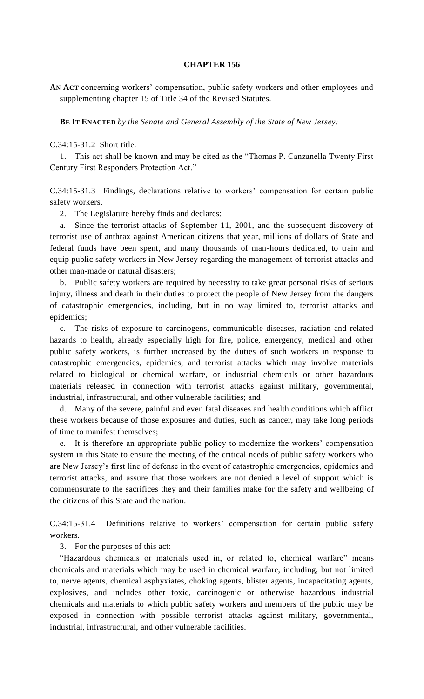## **CHAPTER 156**

**AN ACT** concerning workers' compensation, public safety workers and other employees and supplementing chapter 15 of Title 34 of the Revised Statutes.

**BE IT ENACTED** *by the Senate and General Assembly of the State of New Jersey:*

C.34:15-31.2 Short title.

1. This act shall be known and may be cited as the "Thomas P. Canzanella Twenty First Century First Responders Protection Act."

C.34:15-31.3 Findings, declarations relative to workers' compensation for certain public safety workers.

2. The Legislature hereby finds and declares:

a. Since the terrorist attacks of September 11, 2001, and the subsequent discovery of terrorist use of anthrax against American citizens that year, millions of dollars of State and federal funds have been spent, and many thousands of man-hours dedicated, to train and equip public safety workers in New Jersey regarding the management of terrorist attacks and other man-made or natural disasters;

b. Public safety workers are required by necessity to take great personal risks of serious injury, illness and death in their duties to protect the people of New Jersey from the dangers of catastrophic emergencies, including, but in no way limited to, terrorist attacks and epidemics;

c. The risks of exposure to carcinogens, communicable diseases, radiation and related hazards to health, already especially high for fire, police, emergency, medical and other public safety workers, is further increased by the duties of such workers in response to catastrophic emergencies, epidemics, and terrorist attacks which may involve materials related to biological or chemical warfare, or industrial chemicals or other hazardous materials released in connection with terrorist attacks against military, governmental, industrial, infrastructural, and other vulnerable facilities; and

d. Many of the severe, painful and even fatal diseases and health conditions which afflict these workers because of those exposures and duties, such as cancer, may take long periods of time to manifest themselves;

e. It is therefore an appropriate public policy to modernize the workers' compensation system in this State to ensure the meeting of the critical needs of public safety workers who are New Jersey's first line of defense in the event of catastrophic emergencies, epidemics and terrorist attacks, and assure that those workers are not denied a level of support which is commensurate to the sacrifices they and their families make for the safety and wellbeing of the citizens of this State and the nation.

C.34:15-31.4 Definitions relative to workers' compensation for certain public safety workers.

3. For the purposes of this act:

"Hazardous chemicals or materials used in, or related to, chemical warfare" means chemicals and materials which may be used in chemical warfare, including, but not limited to, nerve agents, chemical asphyxiates, choking agents, blister agents, incapacitating agents, explosives, and includes other toxic, carcinogenic or otherwise hazardous industrial chemicals and materials to which public safety workers and members of the public may be exposed in connection with possible terrorist attacks against military, governmental, industrial, infrastructural, and other vulnerable facilities.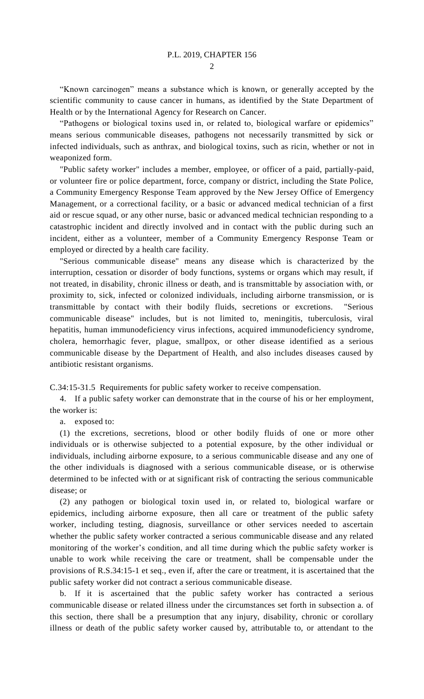$\mathcal{D}_{\mathcal{L}}$ 

"Known carcinogen" means a substance which is known, or generally accepted by the scientific community to cause cancer in humans, as identified by the State Department of Health or by the International Agency for Research on Cancer.

"Pathogens or biological toxins used in, or related to, biological warfare or epidemics" means serious communicable diseases, pathogens not necessarily transmitted by sick or infected individuals, such as anthrax, and biological toxins, such as ricin, whether or not in weaponized form.

"Public safety worker" includes a member, employee, or officer of a paid, partially-paid, or volunteer fire or police department, force, company or district, including the State Police, a Community Emergency Response Team approved by the New Jersey Office of Emergency Management, or a correctional facility, or a basic or advanced medical technician of a first aid or rescue squad, or any other nurse, basic or advanced medical technician responding to a catastrophic incident and directly involved and in contact with the public during such an incident, either as a volunteer, member of a Community Emergency Response Team or employed or directed by a health care facility.

"Serious communicable disease" means any disease which is characterized by the interruption, cessation or disorder of body functions, systems or organs which may result, if not treated, in disability, chronic illness or death, and is transmittable by association with, or proximity to, sick, infected or colonized individuals, including airborne transmission, or is transmittable by contact with their bodily fluids, secretions or excretions. "Serious communicable disease" includes, but is not limited to, meningitis, tuberculosis, viral hepatitis, human immunodeficiency virus infections, acquired immunodeficiency syndrome, cholera, hemorrhagic fever, plague, smallpox, or other disease identified as a serious communicable disease by the Department of Health, and also includes diseases caused by antibiotic resistant organisms.

C.34:15-31.5 Requirements for public safety worker to receive compensation.

4. If a public safety worker can demonstrate that in the course of his or her employment, the worker is:

a. exposed to:

(1) the excretions, secretions, blood or other bodily fluids of one or more other individuals or is otherwise subjected to a potential exposure, by the other individual or individuals, including airborne exposure, to a serious communicable disease and any one of the other individuals is diagnosed with a serious communicable disease, or is otherwise determined to be infected with or at significant risk of contracting the serious communicable disease; or

(2) any pathogen or biological toxin used in, or related to, biological warfare or epidemics, including airborne exposure, then all care or treatment of the public safety worker, including testing, diagnosis, surveillance or other services needed to ascertain whether the public safety worker contracted a serious communicable disease and any related monitoring of the worker's condition, and all time during which the public safety worker is unable to work while receiving the care or treatment, shall be compensable under the provisions of R.S.34:15-1 et seq., even if, after the care or treatment, it is ascertained that the public safety worker did not contract a serious communicable disease.

b. If it is ascertained that the public safety worker has contracted a serious communicable disease or related illness under the circumstances set forth in subsection a. of this section, there shall be a presumption that any injury, disability, chronic or corollary illness or death of the public safety worker caused by, attributable to, or attendant to the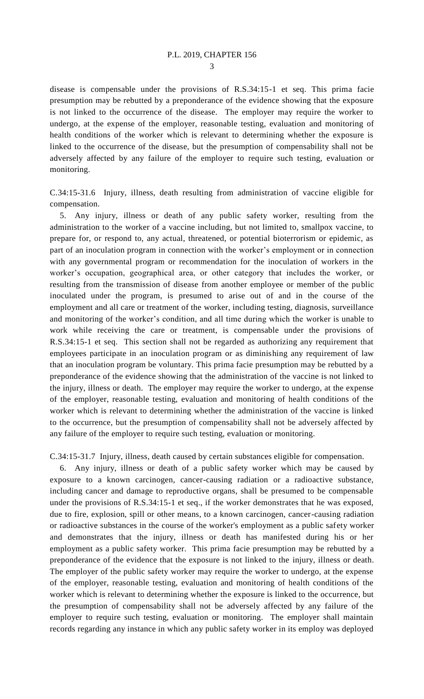disease is compensable under the provisions of R.S.34:15-1 et seq. This prima facie presumption may be rebutted by a preponderance of the evidence showing that the exposure is not linked to the occurrence of the disease. The employer may require the worker to undergo, at the expense of the employer, reasonable testing, evaluation and monitoring of health conditions of the worker which is relevant to determining whether the exposure is linked to the occurrence of the disease, but the presumption of compensability shall not be adversely affected by any failure of the employer to require such testing, evaluation or monitoring.

C.34:15-31.6 Injury, illness, death resulting from administration of vaccine eligible for compensation.

5. Any injury, illness or death of any public safety worker, resulting from the administration to the worker of a vaccine including, but not limited to, smallpox vaccine, to prepare for, or respond to, any actual, threatened, or potential bioterrorism or epidemic, as part of an inoculation program in connection with the worker's employment or in connection with any governmental program or recommendation for the inoculation of workers in the worker's occupation, geographical area, or other category that includes the worker, or resulting from the transmission of disease from another employee or member of the public inoculated under the program, is presumed to arise out of and in the course of the employment and all care or treatment of the worker, including testing, diagnosis, surveillance and monitoring of the worker's condition, and all time during which the worker is unable to work while receiving the care or treatment, is compensable under the provisions of R.S.34:15-1 et seq. This section shall not be regarded as authorizing any requirement that employees participate in an inoculation program or as diminishing any requirement of law that an inoculation program be voluntary. This prima facie presumption may be rebutted by a preponderance of the evidence showing that the administration of the vaccine is not linked to the injury, illness or death. The employer may require the worker to undergo, at the expense of the employer, reasonable testing, evaluation and monitoring of health conditions of the worker which is relevant to determining whether the administration of the vaccine is linked to the occurrence, but the presumption of compensability shall not be adversely affected by any failure of the employer to require such testing, evaluation or monitoring.

C.34:15-31.7 Injury, illness, death caused by certain substances eligible for compensation.

6. Any injury, illness or death of a public safety worker which may be caused by exposure to a known carcinogen, cancer-causing radiation or a radioactive substance, including cancer and damage to reproductive organs, shall be presumed to be compensable under the provisions of R.S.34:15-1 et seq., if the worker demonstrates that he was exposed, due to fire, explosion, spill or other means, to a known carcinogen, cancer-causing radiation or radioactive substances in the course of the worker's employment as a public safety worker and demonstrates that the injury, illness or death has manifested during his or her employment as a public safety worker. This prima facie presumption may be rebutted by a preponderance of the evidence that the exposure is not linked to the injury, illness or death. The employer of the public safety worker may require the worker to undergo, at the expense of the employer, reasonable testing, evaluation and monitoring of health conditions of the worker which is relevant to determining whether the exposure is linked to the occurrence, but the presumption of compensability shall not be adversely affected by any failure of the employer to require such testing, evaluation or monitoring. The employer shall maintain records regarding any instance in which any public safety worker in its employ was deployed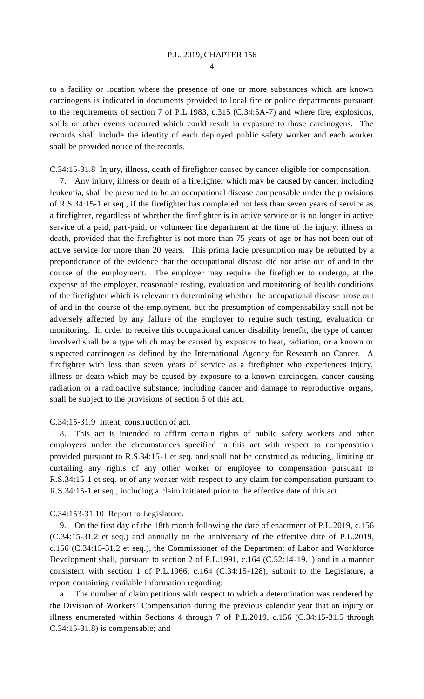4

to a facility or location where the presence of one or more substances which are known carcinogens is indicated in documents provided to local fire or police departments pursuant to the requirements of section 7 of P.L.1983, c.315 (C.34:5A-7) and where fire, explosions, spills or other events occurred which could result in exposure to those carcinogens. The records shall include the identity of each deployed public safety worker and each worker shall be provided notice of the records.

C.34:15-31.8 Injury, illness, death of firefighter caused by cancer eligible for compensation.

7. Any injury, illness or death of a firefighter which may be caused by cancer, including leukemia, shall be presumed to be an occupational disease compensable under the provisions of R.S.34:15-1 et seq., if the firefighter has completed not less than seven years of service as a firefighter, regardless of whether the firefighter is in active service or is no longer in active service of a paid, part-paid, or volunteer fire department at the time of the injury, illness or death, provided that the firefighter is not more than 75 years of age or has not been out of active service for more than 20 years. This prima facie presumption may be rebutted by a preponderance of the evidence that the occupational disease did not arise out of and in the course of the employment. The employer may require the firefighter to undergo, at the expense of the employer, reasonable testing, evaluation and monitoring of health conditions of the firefighter which is relevant to determining whether the occupational disease arose out of and in the course of the employment, but the presumption of compensability shall not be adversely affected by any failure of the employer to require such testing, evaluation or monitoring. In order to receive this occupational cancer disability benefit, the type of cancer involved shall be a type which may be caused by exposure to heat, radiation, or a known or suspected carcinogen as defined by the International Agency for Research on Cancer. A firefighter with less than seven years of service as a firefighter who experiences injury, illness or death which may be caused by exposure to a known carcinogen, cancer-causing radiation or a radioactive substance, including cancer and damage to reproductive organs, shall be subject to the provisions of section 6 of this act.

## C.34:15-31.9 Intent, construction of act.

8. This act is intended to affirm certain rights of public safety workers and other employees under the circumstances specified in this act with respect to compensation provided pursuant to R.S.34:15-1 et seq. and shall not be construed as reducing, limiting or curtailing any rights of any other worker or employee to compensation pursuant to R.S.34:15-1 et seq. or of any worker with respect to any claim for compensation pursuant to R.S.34:15-1 et seq., including a claim initiated prior to the effective date of this act.

## C.34:153-31.10 Report to Legislature.

9. On the first day of the 18th month following the date of enactment of P.L.2019, c.156 (C.34:15-31.2 et seq.) and annually on the anniversary of the effective date of P.L.2019, c.156 (C.34:15-31.2 et seq.), the Commissioner of the Department of Labor and Workforce Development shall, pursuant to section 2 of P.L.1991, c.164 (C.52:14-19.1) and in a manner consistent with section 1 of P.L.1966, c.164 (C.34:15-128), submit to the Legislature, a report containing available information regarding:

a. The number of claim petitions with respect to which a determination was rendered by the Division of Workers' Compensation during the previous calendar year that an injury or illness enumerated within Sections 4 through 7 of P.L.2019, c.156 (C.34:15-31.5 through C.34:15-31.8) is compensable; and